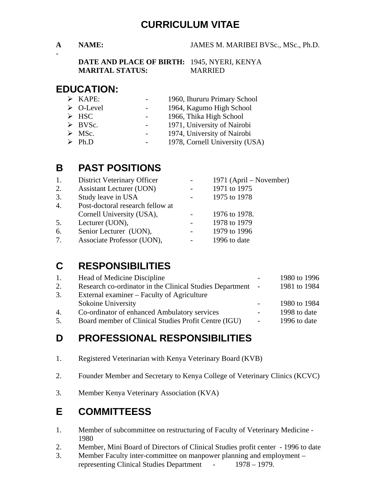### **CURRICULUM VITAE**

-

#### **A NAME:** JAMES M. MARIBEI BVSc., MSc., Ph.D.

**DATE AND PLACE OF BIRTH:** 1945, NYERI, KENYA **MARITAL STATUS:** MARRIED

#### **EDUCATION:**

- ¾ KAPE: 1960, Ihururu Primary School
- ¾ O-Level 1964, Kagumo High School
- → HSC 1966, Thika High School<br>
→ BVSc. 1971, University of Nairo
- 1971, University of Nairobi
- ▶ MSc. 1974, University of Nairobi
- ¾ Ph.D 1978, Cornell University (USA)

### **B PAST POSITIONS**

| 1.               | District Veterinary Officer      | 1971 (April – November) |
|------------------|----------------------------------|-------------------------|
| 2.               | <b>Assistant Lecturer (UON)</b>  | 1971 to 1975            |
| 3.               | Study leave in USA               | 1975 to 1978            |
| $\overline{4}$ . | Post-doctoral research fellow at |                         |
|                  | Cornell University (USA),        | 1976 to 1978.           |
| 5.               | Lecturer (UON),                  | 1978 to 1979            |
| 6.               | Senior Lecturer (UON),           | 1979 to 1996            |
| 7.               | Associate Professor (UON),       | 1996 to date            |

### **C RESPONSIBILITIES**

| 1. | Head of Medicine Discipline                                |            | 1980 to 1996 |
|----|------------------------------------------------------------|------------|--------------|
| 2. | Research co-ordinator in the Clinical Studies Department - |            | 1981 to 1984 |
| 3. | External examiner – Faculty of Agriculture                 |            |              |
|    | Sokoine University                                         |            | 1980 to 1984 |
| 4. | Co-ordinator of enhanced Ambulatory services               | $\sim 100$ | 1998 to date |
| 5. | Board member of Clinical Studies Profit Centre (IGU)       | $\sim$     | 1996 to date |
|    |                                                            |            |              |

### **D PROFESSIONAL RESPONSIBILITIES**

- 1. Registered Veterinarian with Kenya Veterinary Board (KVB)
- 2. Founder Member and Secretary to Kenya College of Veterinary Clinics (KCVC)
- 3. Member Kenya Veterinary Association (KVA)

### **E COMMITTEESS**

- 1. Member of subcommittee on restructuring of Faculty of Veterinary Medicine 1980
- 2. Member, Mini Board of Directors of Clinical Studies profit center 1996 to date
- 3. Member Faculty inter-committee on manpower planning and employment representing Clinical Studies Department - 1978 – 1979.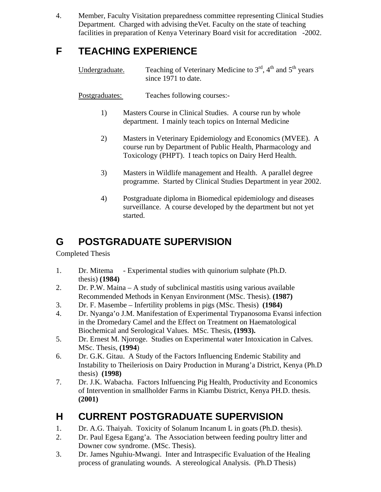4. Member, Faculty Visitation preparedness committee representing Clinical Studies Department. Charged with advising theVet. Faculty on the state of teaching facilities in preparation of Kenya Veterinary Board visit for accreditation -2002.

## **F TEACHING EXPERIENCE**

Undergraduate. Teaching of Veterinary Medicine to  $3<sup>rd</sup>$ ,  $4<sup>th</sup>$  and  $5<sup>th</sup>$  years since 1971 to date.

Postgraduates: Teaches following courses:-

- 1) Masters Course in Clinical Studies. A course run by whole department. I mainly teach topics on Internal Medicine
- 2) Masters in Veterinary Epidemiology and Economics (MVEE). A course run by Department of Public Health, Pharmacology and Toxicology (PHPT). I teach topics on Dairy Herd Health.
- 3) Masters in Wildlife management and Health. A parallel degree programme. Started by Clinical Studies Department in year 2002.
- 4) Postgraduate diploma in Biomedical epidemiology and diseases surveillance. A course developed by the department but not yet started.

## **G POSTGRADUATE SUPERVISION**

Completed Thesis

- 1. Dr. Mitema Experimental studies with quinorium sulphate (Ph.D. thesis) **(1984)**
- 2. Dr. P.W. Maina A study of subclinical mastitis using various available Recommended Methods in Kenyan Environment (MSc. Thesis). **(1987)**
- 3. Dr. F. Masembe Infertility problems in pigs (MSc. Thesis) **(1984)**
- 4. Dr. Nyanga'o J.M. Manifestation of Experimental Trypanosoma Evansi infection in the Dromedary Camel and the Effect on Treatment on Haematological Biochemical and Serological Values. MSc. Thesis, **(1993).**
- 5. Dr. Ernest M. Njoroge. Studies on Experimental water Intoxication in Calves. MSc. Thesis, **(1994**)
- 6. Dr. G.K. Gitau. A Study of the Factors Influencing Endemic Stability and Instability to Theileriosis on Dairy Production in Murang'a District, Kenya (Ph.D thesis) **(1998)**
- 7. Dr. J.K. Wabacha. Factors Inlfuencing Pig Health, Productivity and Economics of Intervention in smallholder Farms in Kiambu District, Kenya PH.D. thesis. **(2001)**

# **H CURRENT POSTGRADUATE SUPERVISION**

- 1. Dr. A.G. Thaiyah. Toxicity of Solanum Incanum L in goats (Ph.D. thesis).
- 2. Dr. Paul Egesa Egang'a. The Association between feeding poultry litter and Downer cow syndrome. (MSc. Thesis).
- 3. Dr. James Nguhiu-Mwangi. Inter and Intraspecific Evaluation of the Healing process of granulating wounds. A stereological Analysis. (Ph.D Thesis)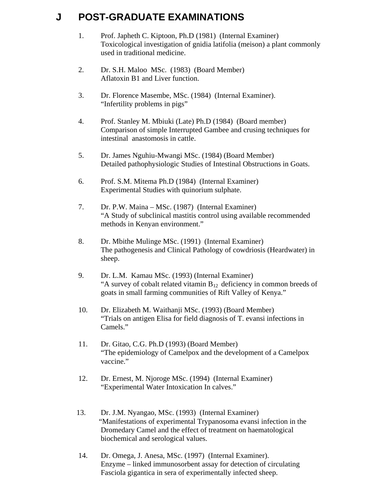## **J POST-GRADUATE EXAMINATIONS**

- 1. Prof. Japheth C. Kiptoon, Ph.D (1981) (Internal Examiner) Toxicological investigation of gnidia latifolia (meison) a plant commonly used in traditional medicine.
- 2. Dr. S.H. Maloo MSc. (1983) (Board Member) Aflatoxin B1 and Liver function.
- 3. Dr. Florence Masembe, MSc. (1984) (Internal Examiner). "Infertility problems in pigs"
- 4. Prof. Stanley M. Mbiuki (Late) Ph.D (1984) (Board member) Comparison of simple Interrupted Gambee and crusing techniques for intestinal anastomosis in cattle.
- 5. Dr. James Nguhiu-Mwangi MSc. (1984) (Board Member) Detailed pathophysiologic Studies of Intestinal Obstructions in Goats.
- 6. Prof. S.M. Mitema Ph.D (1984) (Internal Examiner) Experimental Studies with quinorium sulphate.
- 7. Dr. P.W. Maina MSc. (1987) (Internal Examiner) "A Study of subclinical mastitis control using available recommended methods in Kenyan environment."
- 8. Dr. Mbithe Mulinge MSc. (1991) (Internal Examiner) The pathogenesis and Clinical Pathology of cowdriosis (Heardwater) in sheep.
- 9. Dr. L.M. Kamau MSc. (1993) (Internal Examiner) "A survey of cobalt related vitamin  $B_{12}$  deficiency in common breeds of goats in small farming communities of Rift Valley of Kenya."
- 10. Dr. Elizabeth M. Waithanji MSc. (1993) (Board Member) "Trials on antigen Elisa for field diagnosis of T. evansi infections in Camels."
- 11. Dr. Gitao, C.G. Ph.D (1993) (Board Member) "The epidemiology of Camelpox and the development of a Camelpox vaccine."
- 12. Dr. Ernest, M. Njoroge MSc. (1994) (Internal Examiner) "Experimental Water Intoxication In calves."
- 13. Dr. J.M. Nyangao, MSc. (1993) (Internal Examiner) "Manifestations of experimental Trypanosoma evansi infection in the Dromedary Camel and the effect of treatment on haematological biochemical and serological values.
- 14. Dr. Omega, J. Anesa, MSc. (1997) (Internal Examiner). Enzyme – linked immunosorbent assay for detection of circulating Fasciola gigantica in sera of experimentally infected sheep.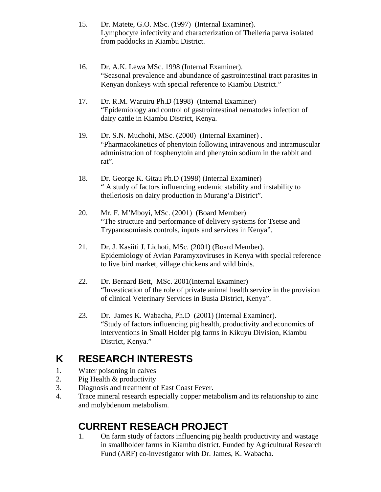- 15. Dr. Matete, G.O. MSc. (1997) (Internal Examiner). Lymphocyte infectivity and characterization of Theileria parva isolated from paddocks in Kiambu District.
- 16. Dr. A.K. Lewa MSc. 1998 (Internal Examiner). "Seasonal prevalence and abundance of gastrointestinal tract parasites in Kenyan donkeys with special reference to Kiambu District."
- 17. Dr. R.M. Waruiru Ph.D (1998) (Internal Examiner) "Epidemiology and control of gastrointestinal nematodes infection of dairy cattle in Kiambu District, Kenya.
- 19. Dr. S.N. Muchohi, MSc. (2000) (Internal Examiner) . "Pharmacokinetics of phenytoin following intravenous and intramuscular administration of fosphenytoin and phenytoin sodium in the rabbit and rat".
- 18. Dr. George K. Gitau Ph.D (1998) (Internal Examiner) " A study of factors influencing endemic stability and instability to theileriosis on dairy production in Murang'a District".
- 20. Mr. F. M'Mboyi, MSc. (2001) (Board Member) "The structure and performance of delivery systems for Tsetse and Trypanosomiasis controls, inputs and services in Kenya".
- 21. Dr. J. Kasiiti J. Lichoti, MSc. (2001) (Board Member). Epidemiology of Avian Paramyxoviruses in Kenya with special reference to live bird market, village chickens and wild birds.
- 22. Dr. Bernard Bett, MSc. 2001(Internal Examiner) "Investication of the role of private animal health service in the provision of clinical Veterinary Services in Busia District, Kenya".
- 23. Dr. James K. Wabacha, Ph.D (2001) (Internal Examiner). "Study of factors influencing pig health, productivity and economics of interventions in Small Holder pig farms in Kikuyu Division, Kiambu District, Kenya."

# **K RESEARCH INTERESTS**

- 1. Water poisoning in calves
- 2. Pig Health & productivity
- 3. Diagnosis and treatment of East Coast Fever.
- 4. Trace mineral research especially copper metabolism and its relationship to zinc and molybdenum metabolism.

# **CURRENT RESEACH PROJECT**

 1. On farm study of factors influencing pig health productivity and wastage in smallholder farms in Kiambu district. Funded by Agricultural Research Fund (ARF) co-investigator with Dr. James, K. Wabacha.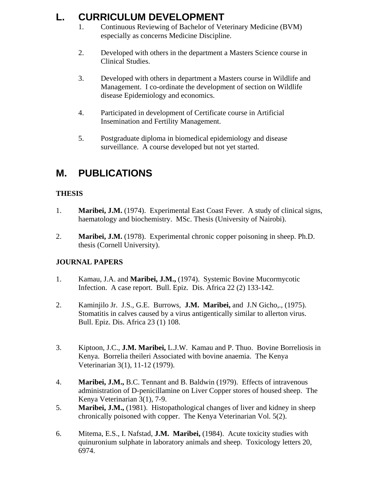# **L. CURRICULUM DEVELOPMENT**

- 1. Continuous Reviewing of Bachelor of Veterinary Medicine (BVM) especially as concerns Medicine Discipline.
- 2. Developed with others in the department a Masters Science course in Clinical Studies.
- 3. Developed with others in department a Masters course in Wildlife and Management. I co-ordinate the development of section on Wildlife disease Epidemiology and economics.
- 4. Participated in development of Certificate course in Artificial Insemination and Fertility Management.
- 5. Postgraduate diploma in biomedical epidemiology and disease surveillance. A course developed but not yet started.

# **M. PUBLICATIONS**

#### **THESIS**

- 1. **Maribei, J.M.** (1974). Experimental East Coast Fever. A study of clinical signs, haematology and biochemistry. MSc. Thesis (University of Nairobi).
- 2. **Maribei, J.M.** (1978). Experimental chronic copper poisoning in sheep. Ph.D. thesis (Cornell University).

#### **JOURNAL PAPERS**

- 1. Kamau, J.A. and **Maribei, J.M.,** (1974). Systemic Bovine Mucormycotic Infection. A case report. Bull. Epiz. Dis. Africa 22 (2) 133-142.
- 2. Kaminjilo Jr. J.S., G.E. Burrows, **J.M. Maribei,** and J.N Gicho,., (1975). Stomatitis in calves caused by a virus antigentically similar to allerton virus. Bull. Epiz. Dis. Africa 23 (1) 108.
- 3. Kiptoon, J.C., **J.M. Maribei,** L.J.W. Kamau and P. Thuo. Bovine Borreliosis in Kenya. Borrelia theileri Associated with bovine anaemia. The Kenya Veterinarian 3(1), 11-12 (1979).
- 4. **Maribei, J.M.,** B.C. Tennant and B. Baldwin (1979). Effects of intravenous administration of D-penicillamine on Liver Copper stores of housed sheep. The Kenya Veterinarian 3(1), 7-9.
- 5. **Maribei, J.M.,** (1981). Histopathological changes of liver and kidney in sheep chronically poisoned with copper. The Kenya Veterinarian Vol. 5(2).
- 6. Mitema, E.S., I. Nafstad, **J.M. Maribei,** (1984). Acute toxicity studies with quinuronium sulphate in laboratory animals and sheep. Toxicology letters 20, 6974.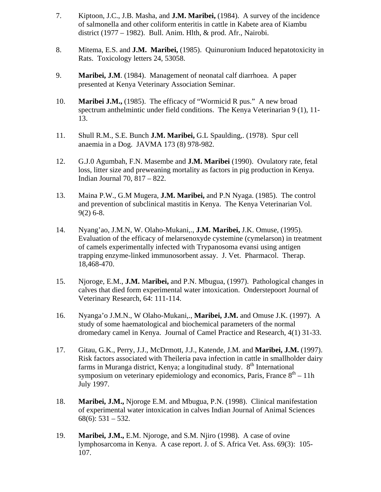- 7. Kiptoon, J.C., J.B. Masha, and **J.M. Maribei,** (1984). A survey of the incidence of salmonella and other coliform enteritis in cattle in Kabete area of Kiambu district (1977 – 1982). Bull. Anim. Hlth, & prod. Afr., Nairobi.
- 8. Mitema, E.S. and **J.M. Maribei,** (1985). Quinuronium Induced hepatotoxicity in Rats. Toxicology letters 24, 53058.
- 9. **Maribei, J.M**. (1984). Management of neonatal calf diarrhoea. A paper presented at Kenya Veterinary Association Seminar.
- 10. **Maribei J.M.,** (1985). The efficacy of "Wormicid R pus." A new broad spectrum anthelmintic under field conditions. The Kenya Veterinarian 9 (1), 11- 13.
- 11. Shull R.M., S.E. Bunch **J.M. Maribei,** G.L Spaulding,. (1978). Spur cell anaemia in a Dog. JAVMA 173 (8) 978-982.
- 12. G.J.0 Agumbah, F.N. Masembe and **J.M. Maribei** (1990). Ovulatory rate, fetal loss, litter size and preweaning mortality as factors in pig production in Kenya. Indian Journal 70, 817 – 822.
- 13. Maina P.W., G.M Mugera, **J.M. Maribei,** and P.N Nyaga. (1985). The control and prevention of subclinical mastitis in Kenya. The Kenya Veterinarian Vol. 9(2) 6-8.
- 14. Nyang'ao, J.M.N, W. Olaho-Mukani,., **J.M. Maribei,** J.K. Omuse, (1995). Evaluation of the efficacy of melarsenoxyde cystemine (cymelarson) in treatment of camels experimentally infected with Trypanosoma evansi using antigen trapping enzyme-linked immunosorbent assay. J. Vet. Pharmacol. Therap. 18,468-470.
- 15. Njoroge, E.M., **J.M.** M**aribei,** and P.N. Mbugua, (1997). Pathological changes in calves that died form experimental water intoxication. Onderstepoort Journal of Veterinary Research, 64: 111-114.
- 16. Nyanga'o J.M.N., W Olaho-Mukani,., **Maribei, J.M.** and Omuse J.K. (1997). A study of some haematological and biochemical parameters of the normal dromedary camel in Kenya. Journal of Camel Practice and Research, 4(1) 31-33.
- 17. Gitau, G.K., Perry, J.J., McDrmott, J.J., Katende, J.M. and **Maribei, J.M.** (1997). Risk factors associated with Theileria pava infection in cattle in smallholder dairy farms in Muranga district, Kenya; a longitudinal study.  $8<sup>th</sup>$  International symposium on veterinary epidemiology and economics, Paris, France  $8<sup>th</sup> - 11h$ July 1997.
- 18. **Maribei, J.M.,** Njoroge E.M. and Mbugua, P.N. (1998). Clinical manifestation of experimental water intoxication in calves Indian Journal of Animal Sciences  $68(6)$ : 531 – 532.
- 19. **Maribei, J.M.,** E.M. Njoroge, and S.M. Njiro (1998). A case of ovine lymphosarcoma in Kenya. A case report. J. of S. Africa Vet. Ass. 69(3): 105- 107.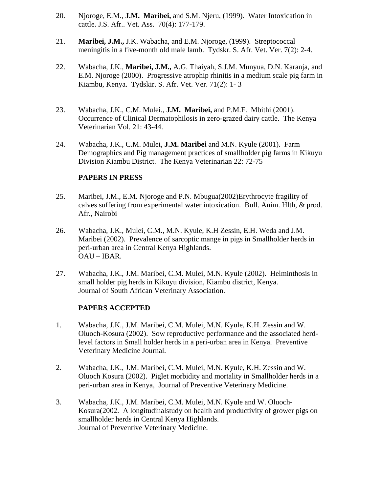- 20. Njoroge, E.M., **J.M. Maribei,** and S.M. Njeru, (1999). Water Intoxication in cattle. J.S. Afr.. Vet. Ass. 70(4): 177-179.
- 21. **Maribei, J.M.,** J.K. Wabacha, and E.M. Njoroge, (1999). Streptococcal meningitis in a five-month old male lamb. Tydskr. S. Afr. Vet. Ver. 7(2): 2-4.
- 22. Wabacha, J.K., **Maribei, J.M.,** A.G. Thaiyah, S.J.M. Munyua, D.N. Karanja, and E.M. Njoroge (2000). Progressive atrophip rhinitis in a medium scale pig farm in Kiambu, Kenya. Tydskir. S. Afr. Vet. Ver. 71(2): 1- 3
- 23. Wabacha, J.K., C.M. Mulei., **J.M. Maribei,** and P.M.F. Mbithi (2001). Occurrence of Clinical Dermatophilosis in zero-grazed dairy cattle. The Kenya Veterinarian Vol. 21: 43-44.
- 24. Wabacha, J.K., C.M. Mulei, **J.M. Maribei** and M.N. Kyule (2001). Farm Demographics and Pig management practices of smallholder pig farms in Kikuyu Division Kiambu District. The Kenya Veterinarian 22: 72-75

#### **PAPERS IN PRESS**

- 25. Maribei, J.M., E.M. Njoroge and P.N. Mbugua(2002)Erythrocyte fragility of calves suffering from experimental water intoxication. Bull. Anim. Hlth, & prod. Afr., Nairobi
- 26. Wabacha, J.K., Mulei, C.M., M.N. Kyule, K.H Zessin, E.H. Weda and J.M. Maribei (2002). Prevalence of sarcoptic mange in pigs in Smallholder herds in peri-urban area in Central Kenya Highlands. OAU – IBAR.
- 27. Wabacha, J.K., J.M. Maribei, C.M. Mulei, M.N. Kyule (2002). Helminthosis in small holder pig herds in Kikuyu division, Kiambu district, Kenya. Journal of South African Veterinary Association.

#### **PAPERS ACCEPTED**

- 1. Wabacha, J.K., J.M. Maribei, C.M. Mulei, M.N. Kyule, K.H. Zessin and W. Oluoch-Kosura (2002). Sow reproductive performance and the associated herdlevel factors in Small holder herds in a peri-urban area in Kenya. Preventive Veterinary Medicine Journal.
- 2. Wabacha, J.K., J.M. Maribei, C.M. Mulei, M.N. Kyule, K.H. Zessin and W. Oluoch Kosura (2002). Piglet morbidity and mortality in Smallholder herds in a peri-urban area in Kenya, Journal of Preventive Veterinary Medicine.
- 3. Wabacha, J.K., J.M. Maribei, C.M. Mulei, M.N. Kyule and W. Oluoch-Kosura(2002. A longitudinalstudy on health and productivity of grower pigs on smallholder herds in Central Kenya Highlands. Journal of Preventive Veterinary Medicine.